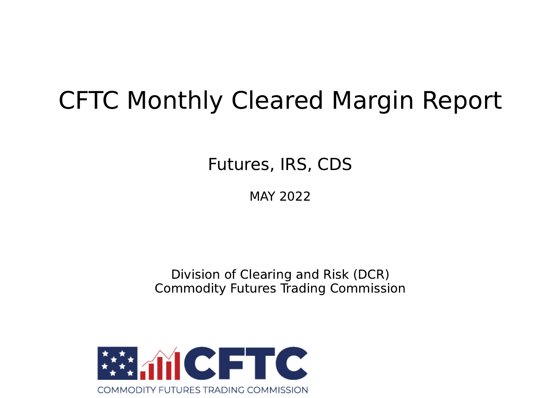# CFTC Monthly Cleared Margin Report

Futures, IRS, CDS

MAY 2022

Division of Clearing and Risk (DCR) Commodity Futures Trading Commission

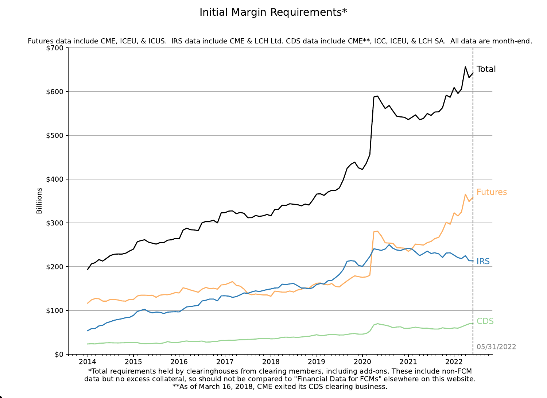Initial Margin Requirements\*

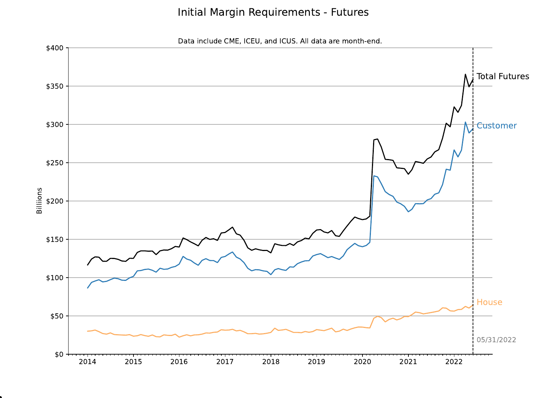## Initial Margin Requirements - Futures

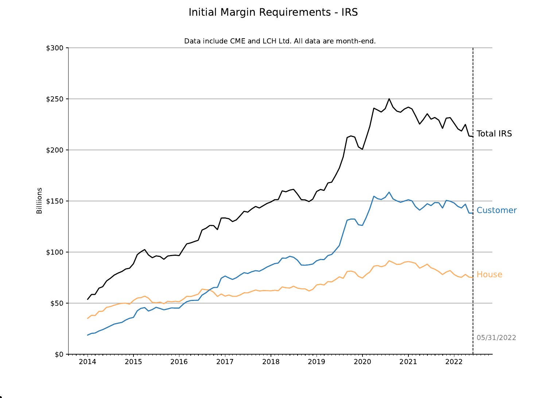## Initial Margin Requirements - IRS

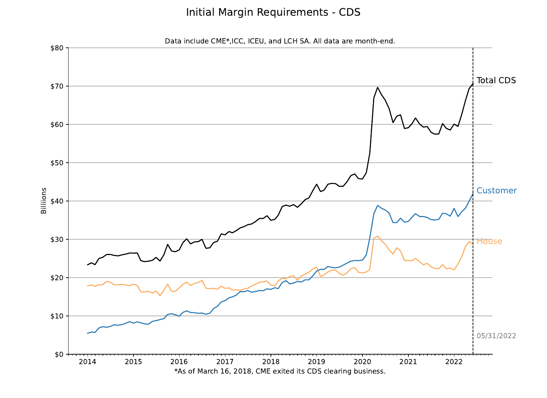#### Initial Margin Requirements - CDS